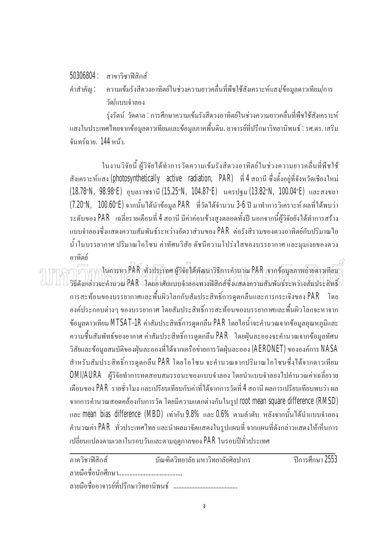## 50306804 : สาขาวิชาฟิสิกส์

คำสำคัญ : ความเข้มรังสีควงอาทิตย์ในช่วงความยาวคลื่นที่พืชใช้สังเคราะห์แสง/ข้อมูลดาวเทียม/การ ºÉ ้วัด/แบบจำลอง

รุ่งรัตน์ วัดตาล : การศึกษาความเข้มรังสีควงอาทิตย์ในช่วงความยาวคลื่นที่พืชใช้สังเคราะห์ แสงในประเทศไทยจากข้อมูลดาวเทียมและข้อมูลภาคพื้นดิน. อาจารย์ที่ปรึกษาวิทยานิพนธ์ : รศ.ดร. เสริม ºÊ ้จับทร์ฉาย. 144 หน้า.

ในงานวิจัยนี้ ผู้วิจัยได้ทำการวัดความเข้มรังสีควงอาทิตย์ในช่วงความยาวคลื่นที่พืชใช้ ºÉ สังเคราะห์แสง (photosynthetically active radiation, PAR) ที่ 4 สถานี ซึ่งตั้งอยู่ที่จังหวัดเชียงใหม่ ´Ê (18.78°N, 98.98°E) อุบลราชธานี (15.25°N, 104.87°E) นครปฐม (13.82°N, 100.04°E) และสงขลา (7.20°N, 100.60°E) จากนั้นใด้นำข้อมูล PAR ที่วัดใด้จำนวน 3-6 ปี มาทำการวิเคราะห์ ผลที่ได้พบว่า ระดับของ PAR เฉลี่ยรายเคือนที่ 4 สถานี มีก่าก่อนข้างสูงตลอดทั้งปี นอกจากนี้ผู้วิจัยยังได้ทำการสร้าง ∫ แบบจำลองซึ่งแสคงความสัมพันธ์ระหว่างอัตราส่วนของ PAR ต่อรังสีรวมของควงอาทิตย์กับปริมาณใอ ∫<br>É ้น้ำในบรรยากาศ ปริมาณโอโซน ค่าทัศนวิสัย ดัชนีความโปร่งใสของบรรยากาศ และมุมเงยของดวง ิ อาทิตย์

 $\widehat{\cap}$  $\cap$ า $\cap$ ในการหา $P$ AR (ห้วุประเทศ ผู้วิจัย ได้พัฒนาวิธีการคำนาณ $P$ AR (จากข้อมูลภาพณ์วยสาวเทียม วิธีดังกล่าวจะคำนวณ PAR โดยอาศัยแบบจำลองทางฟิสิกส์ซึ่งแสดงความสัมพันธ์ระหว่างสัมประสิทธิ์ ·Í การสะท้อนของบรรยากาศและพื้นผิวโลกกับสัมประสิทธิ์การดูดกลืนและการกระเจิงของ PAR โดย ·Í องค์ประกอบต่างๆ ของบรรยากาศ โดยสัมประสิทธิ์การสะท้อนของบรรยากาศและพื้นผิวโลกจะหาจาก ·Í ºÊ ข้อมูลคาวเทียม MTSAT-1R ค่าสัมประสิทธิ์การดูดกลืน PAR โดยใอน้ำจะคำนวณจากข้อมูลอุณหภูมิและ ·Í ความชื้นสัมพัทธ์ของอากาศ ค่าสัมประสิทธิ์การดูดกลืน PAR โดยฝุ่นละอองจะคำนวณจากข้อมูลทัศน ºÊ ·Í วิสัยและข้อมูลสมบัติของฝุ่นละอองที่ได้จากเครือข่ายการวัดฝุ่นละออง (AERONET) ขององค์การ NASA สำหรับสัมประสิทธิ์การดูดกลืน PAR โดยโอโซน จะคำนวณจากปริมาณโอโซนซึ่งใค้จากคาวเทียม ·Í OMI/AURA ผู้วิจัยทำการทดสอบสมรรถนะของแบบจำลอง โดยนำแบบจำลองไปคำนวณค่าเฉลี่ยราย เคือนของ PAR รายชั่วโมง และเปรียบเทียบกับค่าที่ได้จากการวัดที่ 4 สถานี ผลการเปรียบเทียบพบว่า ผล จากการคำนวณสอดคล้องกับการวัด โดยมีความแตกต่างกันในรูป root mean square difference (RMSD) และ mean bias difference (MBD) เท่ากับ 9.8% และ 0.6% ตามลำดับ หลังจากนั้นได้นำแบบจำลอง คำนวณค่า PAR ทั่วประเทศไทย และนำผลมาจัดแสดงในรูปแผนที่ จากแผนที่ดังกล่าวแสดงให้เห็นการ ้ เปลี่ยนแปลงตามเวลาในรอบวันและตามฤดูกาลของ PAR ในรอบปีทั่วประเทศ

| ภาควิชาฟิสิกส์                        | ำโณฑิตวิทยาลัย มหาวิทยาลัยศิลปากร | ้ ปีการศึกษา 2553 |
|---------------------------------------|-----------------------------------|-------------------|
| ลายมือชื่อนักศึกษา                    |                                   |                   |
| ลายมือชื่ออาจารย์ที่ปรึกษาวิทยานิพนธ์ |                                   |                   |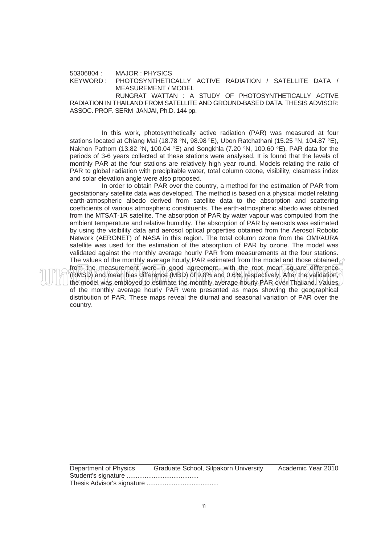50306804 : MAJOR : PHYSICS KEYWORD : PHOTOSYNTHETICALLY ACTIVE RADIATION / SATELLITE DATA / MEASUREMENT / MODEL

RUNGRAT WATTAN : A STUDY OF PHOTOSYNTHETICALLY ACTIVE RADIATION IN THAILAND FROM SATELLITE AND GROUND-BASED DATA. THESIS ADVISOR: ASSOC. PROF. SERM JANJAI, Ph.D. 144 pp.

 In this work, photosynthetically active radiation (PAR) was measured at four stations located at Chiang Mai (18.78 °N, 98.98 °E), Ubon Ratchathani (15.25 °N, 104.87 °E), Nakhon Pathom (13.82 °N, 100.04 °E) and Songkhla (7.20 °N, 100.60 °E). PAR data for the periods of 3-6 years collected at these stations were analysed. It is found that the levels of monthly PAR at the four stations are relatively high year round. Models relating the ratio of PAR to global radiation with precipitable water, total column ozone, visibility, clearness index and solar elevation angle were also proposed.

In order to obtain PAR over the country, a method for the estimation of PAR from geostationary satellite data was developed. The method is based on a physical model relating earth-atmospheric albedo derived from satellite data to the absorption and scattering coefficients of various atmospheric constituents. The earth-atmospheric albedo was obtained from the MTSAT-1R satellite. The absorption of PAR by water vapour was computed from the ambient temperature and relative humidity. The absorption of PAR by aerosols was estimated by using the visibility data and aerosol optical properties obtained from the Aerosol Robotic Network (AERONET) of NASA in this region. The total column ozone from the OMI/AURA satellite was used for the estimation of the absorption of PAR by ozone. The model was validated against the monthly average hourly PAR from measurements at the four stations. The values of the monthly average hourly PAR estimated from the model and those obtained from the measurement were in good agreement, with the root mean square difference (RMSD) and mean bias difference (MBD) of 9.8% and 0.6%, respectively. After the validation, the model was employed to estimate the monthly average hourly PAR over Thailand. Values of the monthly average hourly PAR were presented as maps showing the geographical distribution of PAR. These maps reveal the diurnal and seasonal variation of PAR over the country.

| Department of Physics | Graduate School, Silpakorn University |  |
|-----------------------|---------------------------------------|--|
|                       |                                       |  |
|                       |                                       |  |

Academic Year 2010